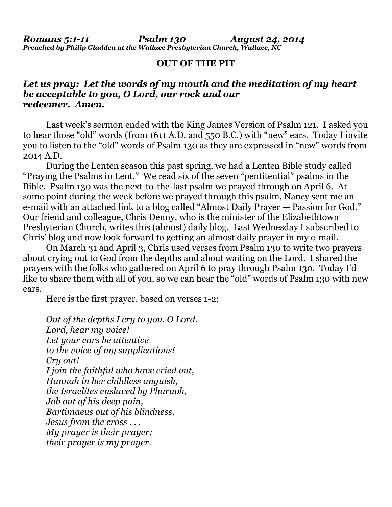*Romans 5:1-11 Psalm 130 August 24, 2014 Preached by Philip Gladden at the Wallace Presbyterian Church, Wallace, NC*

### **OUT OF THE PIT**

## *Let us pray: Let the words of my mouth and the meditation of my heart be acceptable to you, O Lord, our rock and our redeemer. Amen.*

Last week's sermon ended with the King James Version of Psalm 121. I asked you to hear those "old" words (from 1611 A.D. and 550 B.C.) with "new" ears. Today I invite you to listen to the "old" words of Psalm 130 as they are expressed in "new" words from 2014 A.D.

 During the Lenten season this past spring, we had a Lenten Bible study called "Praying the Psalms in Lent." We read six of the seven "pentitential" psalms in the Bible. Psalm 130 was the next-to-the-last psalm we prayed through on April 6. At some point during the week before we prayed through this psalm, Nancy sent me an e-mail with an attached link to a blog called "Almost Daily Prayer — Passion for God." Our friend and colleague, Chris Denny, who is the minister of the Elizabethtown Presbyterian Church, writes this (almost) daily blog. Last Wednesday I subscribed to Chris' blog and now look forward to getting an almost daily prayer in my e-mail.

 On March 31 and April 3, Chris used verses from Psalm 130 to write two prayers about crying out to God from the depths and about waiting on the Lord. I shared the prayers with the folks who gathered on April 6 to pray through Psalm 130. Today I'd like to share them with all of you, so we can hear the "old" words of Psalm 130 with new ears.

Here is the first prayer, based on verses 1-2:

*Out of the depths I cry to you, O Lord. Lord, hear my voice! Let your ears be attentive to the voice of my supplications! Cry out! I join the faithful who have cried out, Hannah in her childless anguish, the Israelites enslaved by Pharaoh, Job out of his deep pain, Bartimaeus out of his blindness, Jesus from the cross . . . My prayer is their prayer; their prayer is my prayer.*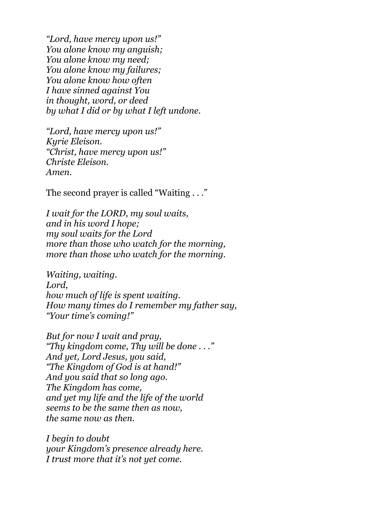*"Lord, have mercy upon us!" You alone know my anguish; You alone know my need; You alone know my failures; You alone know how often I have sinned against You in thought, word, or deed by what I did or by what I left undone.* 

 *"Lord, have mercy upon us!" Kyrie Eleison. "Christ, have mercy upon us!" Christe Eleison. Amen.* 

The second prayer is called "Waiting . . ."

*I wait for the LORD, my soul waits, and in his word I hope; my soul waits for the Lord more than those who watch for the morning, more than those who watch for the morning.* 

 *Waiting, waiting. Lord, how much of life is spent waiting. How many times do I remember my father say, "Your time's coming!"* 

 *But for now I wait and pray, "Thy kingdom come, Thy will be done . . ." And yet, Lord Jesus, you said, "The Kingdom of God is at hand!" And you said that so long ago. The Kingdom has come, and yet my life and the life of the world seems to be the same then as now, the same now as then.* 

 *I begin to doubt your Kingdom's presence already here. I trust more that it's not yet come.*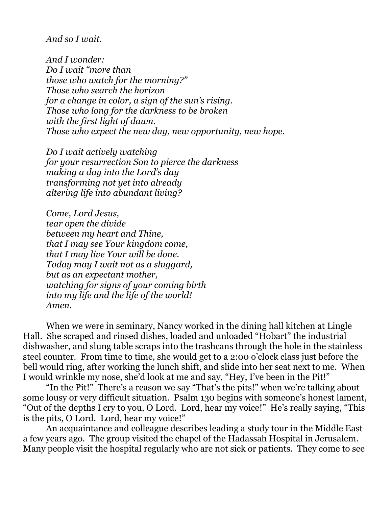## *And so I wait.*

 *And I wonder: Do I wait "more than those who watch for the morning?" Those who search the horizon for a change in color, a sign of the sun's rising. Those who long for the darkness to be broken with the first light of dawn. Those who expect the new day, new opportunity, new hope.* 

 *Do I wait actively watching for your resurrection Son to pierce the darkness making a day into the Lord's day transforming not yet into already altering life into abundant living?* 

 *Come, Lord Jesus, tear open the divide between my heart and Thine, that I may see Your kingdom come, that I may live Your will be done. Today may I wait not as a sluggard, but as an expectant mother, watching for signs of your coming birth into my life and the life of the world! Amen.* 

When we were in seminary, Nancy worked in the dining hall kitchen at Lingle Hall. She scraped and rinsed dishes, loaded and unloaded "Hobart" the industrial dishwasher, and slung table scraps into the trashcans through the hole in the stainless steel counter. From time to time, she would get to a 2:00 o'clock class just before the bell would ring, after working the lunch shift, and slide into her seat next to me. When I would wrinkle my nose, she'd look at me and say, "Hey, I've been in the Pit!"

 "In the Pit!" There's a reason we say "That's the pits!" when we're talking about some lousy or very difficult situation. Psalm 130 begins with someone's honest lament, "Out of the depths I cry to you, O Lord. Lord, hear my voice!" He's really saying, "This is the pits, O Lord. Lord, hear my voice!"

 An acquaintance and colleague describes leading a study tour in the Middle East a few years ago. The group visited the chapel of the Hadassah Hospital in Jerusalem. Many people visit the hospital regularly who are not sick or patients. They come to see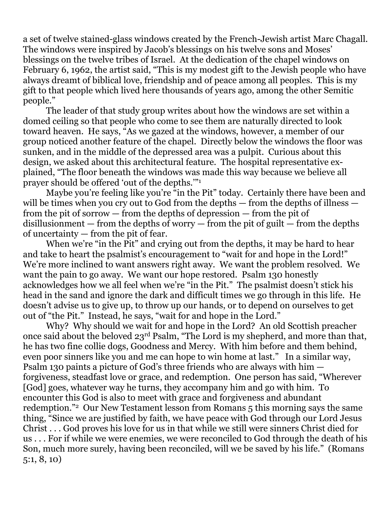a set of twelve stained-glass windows created by the French-Jewish artist Marc Chagall. The windows were inspired by Jacob's blessings on his twelve sons and Moses' blessings on the twelve tribes of Israel. At the dedication of the chapel windows on February 6, 1962, the artist said, "This is my modest gift to the Jewish people who have always dreamt of biblical love, friendship and of peace among all peoples. This is my gift to that people which lived here thousands of years ago, among the other Semitic people."

 The leader of that study group writes about how the windows are set within a domed ceiling so that people who come to see them are naturally directed to look toward heaven. He says, "As we gazed at the windows, however, a member of our group noticed another feature of the chapel. Directly below the windows the floor was sunken, and in the middle of the depressed area was a pulpit. Curious about this design, we asked about this architectural feature. The hospital representative explained, "The floor beneath the windows was made this way because we believe all prayer should be offered 'out of the depths.'"1

Maybe you're feeling like you're "in the Pit" today. Certainly there have been and will be times when you cry out to God from the depths — from the depths of illness from the pit of sorrow — from the depths of depression — from the pit of disillusionment  $-$  from the depths of worry  $-$  from the pit of guilt  $-$  from the depths of uncertainty — from the pit of fear.

When we're "in the Pit" and crying out from the depths, it may be hard to hear and take to heart the psalmist's encouragement to "wait for and hope in the Lord!" We're more inclined to want answers right away. We want the problem resolved. We want the pain to go away. We want our hope restored. Psalm 130 honestly acknowledges how we all feel when we're "in the Pit." The psalmist doesn't stick his head in the sand and ignore the dark and difficult times we go through in this life. He doesn't advise us to give up, to throw up our hands, or to depend on ourselves to get out of "the Pit." Instead, he says, "wait for and hope in the Lord."

 Why? Why should we wait for and hope in the Lord? An old Scottish preacher once said about the beloved 23rd Psalm, "The Lord is my shepherd, and more than that, he has two fine collie dogs, Goodness and Mercy. With him before and them behind, even poor sinners like you and me can hope to win home at last." In a similar way, Psalm 130 paints a picture of God's three friends who are always with him forgiveness, steadfast love or grace, and redemption. One person has said, "Wherever [God] goes, whatever way he turns, they accompany him and go with him. To encounter this God is also to meet with grace and forgiveness and abundant redemption."2 Our New Testament lesson from Romans 5 this morning says the same thing, "Since we are justified by faith, we have peace with God through our Lord Jesus Christ . . . God proves his love for us in that while we still were sinners Christ died for us . . . For if while we were enemies, we were reconciled to God through the death of his Son, much more surely, having been reconciled, will we be saved by his life." (Romans 5:1, 8, 10)